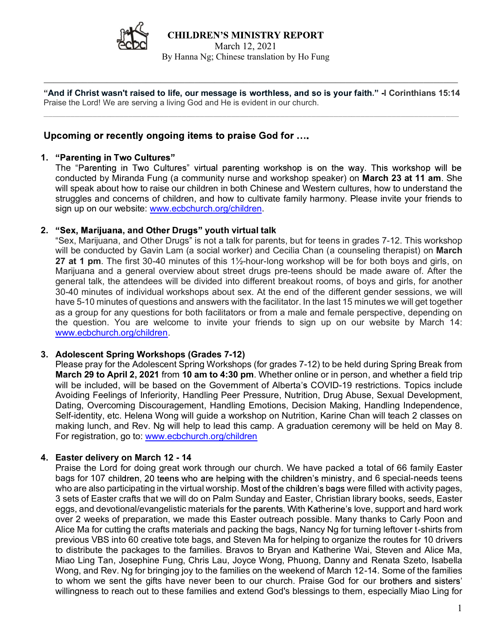

"And if Christ wasn't raised to life, our message is worthless, and so is your faith." -I Corinthians 15:14 Praise the Lord! We are serving a living God and He is evident in our church. \_\_\_\_\_\_\_\_\_\_\_\_\_\_\_\_\_\_\_\_\_\_\_\_\_\_\_\_\_\_\_\_\_\_\_\_\_\_\_\_\_\_\_\_\_\_\_\_\_\_\_\_\_\_\_\_\_\_\_\_\_\_\_\_\_\_\_\_\_\_\_\_\_\_\_\_\_\_\_\_\_\_\_\_\_\_\_\_\_\_\_\_\_

#### 1. "Parenting in Two Cultures"

The "Parenting in Two Cultures" virtual parenting workshop is on the way. This workshop will be conducted by Miranda Fung (a community nurse and workshop speaker) on March 23 at 11 am. She will speak about how to raise our children in both Chinese and Western cultures, how to understand the Struggles and the property of concerns of children, and the concerns of the concerns of the concerns of the concerns of concerns of concerns of concerns of concerns of concerns of concerns of concerns of the concerns of co Sign up on our website: www.ecbchurch.org/children.<br>
The sign up of the sign up of the sign up of the sign up of the sign up of the sign of the sign up on our faith."<br>
The sign up on our website: we see the control we are

Sex, Marijuana, and Other Drugs" youth virtual talk<br>
Sex, Marijuana, and Other Drugs is worthless, and so is your faith." I Corinthians 15:14<br>
Sex the Lord We are serving a living God and He is evident in our church.<br>
Comi will be conducted by Gavin Lam (a social worker) and Cecilia Chan (a counseling therapist) on March 27 at 1 pm. The first 30-40 minutes of this 1½-hour-long workshop will be for both boys and girls, on Marijuana and a general overview about street drugs pre-teens should be made aware of. After the general talk, the attendees will be divided into different breakout rooms, of boys and girls, for another nd if Christ wasn't raised to life, our message is worthless, and so is your faith." 4 Corinthians 15:14<br>ise the Lord! We are serving a living God and He is evident in our church.<br> **"Parenting in Two Cultures"** virtual par have 5-10 minutes of questions and answers with the facilitator. In the last 15 minutes we will get together as a group for any questions for both facilitators or from a male and female perspective, depending on the question. You are welcome to invite your friends to sign up on our website by March 14: www.ecbchurch.org/children. "Sex, Marijuana, and Other Drugs" youth virtual talk<br>"Sex, Marijuana, and Other Drugs" is not a talk for parents, but for teens in grades 7-12. This workshop<br>will be conducted by Gavin Lam (a social workshe) and Cerlila Ch

#### 3. Adolescent Spring Workshops (Grades 7-12)

Please pray for the Adolescent Spring Workshops (for grades 7-12) to be held during Spring Break from March 29 to April 2, 2021 from 10 am to 4:30 pm. Whether online or in person, and whether a field trip will be included, will be based on the Government of Alberta's COVID-19 restrictions. Topics include Avoiding Feelings of Inferiority, Handling Peer Pressure, Nutrition, Drug Abuse, Sexual Development, Dating, Overcoming Discouragement, Handling Emotions, Decision Making, Handling Independence, Self-identity, etc. Helena Wong will guide a workshop on Nutrition, Karine Chan will teach 2 classes on For registration, go to: www.ecbchurch.org/children

## 4. Easter delivery on March 12 - 14

Praise the Lord for doing great work through our church. We have packed a total of 66 family Easter bags for 107 children, 20 teens who are helping with the children's ministry, and 6 special-needs teens who are also participating in the virtual worship. Most of the children's bags were filled with activity pages, 3 sets of Easter crafts that we will do on Palm Sunday and Easter, Christian library books, seeds, Easter eggs, and devotional/evangelistic materials for the parents. With Katherine's love, support and hard work over 2 weeks of preparation, we made this Easter outreach possible. Many thanks to Carly Poon and Alice Ma for cutting the crafts materials and packing the bags, Nancy Ng for turning leftover t-shirts from previous VBS into 60 creative tote bags, and Steven Ma for helping to organize the routes for 10 drivers to distribute the packages to the families. Bravos to Bryan and Katherine Wai, Steven and Alice Ma, Miao Ling Tan, Josephine Fung, Chris Lau, Joyce Wong, Phuong, Danny and Renata Szeto, Isabella Wong, and Rev. Ng for bringing joy to the families on the weekend of March 12-14. Some of the families to whom we sent the gifts have never been to our church. Praise God for our brothers and sisters' willingness to reach out to these families and extend God's blessings to them, especially Miao Ling for